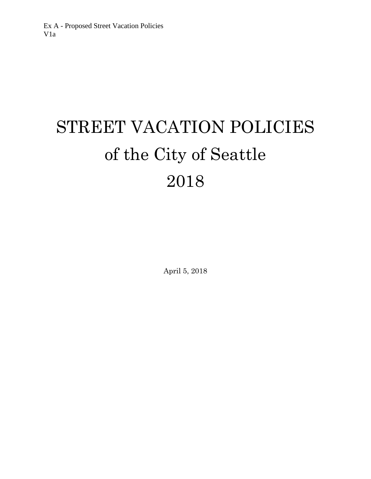# STREET VACATION POLICIES of the City of Seattle 2018

April 5, 2018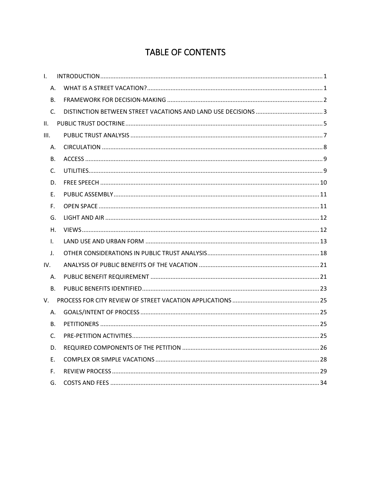# TABLE OF CONTENTS

| $\mathbf{L}$ |  |
|--------------|--|
| Α.           |  |
| В.           |  |
| $C_{1}$      |  |
| II.          |  |
| III.         |  |
| А.           |  |
| В.           |  |
| C.           |  |
| D.           |  |
| Ε.           |  |
| F.           |  |
| G.           |  |
| Η.           |  |
| $\mathsf{L}$ |  |
| $\mathsf{L}$ |  |
| IV.          |  |
| А.           |  |
| <b>B.</b>    |  |
| V.           |  |
| Α.           |  |
| <b>B.</b>    |  |
| $C_{\cdot}$  |  |
| D.           |  |
| Ε.           |  |
| F.           |  |
| G.           |  |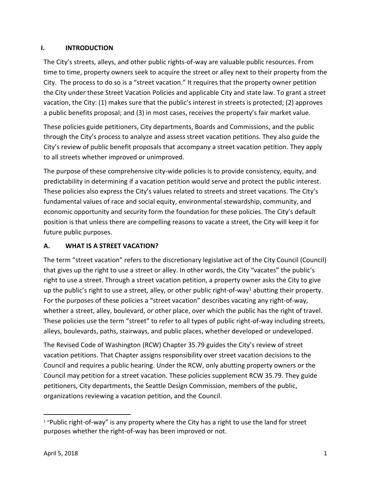#### <span id="page-2-0"></span>**I. INTRODUCTION**

The City's streets, alleys, and other public rights-of-way are valuable public resources. From time to time, property owners seek to acquire the street or alley next to their property from the City. The process to do so is a "street vacation." It requires that the property owner petition the City under these Street Vacation Policies and applicable City and state law. To grant a street vacation, the City: (1) makes sure that the public's interest in streets is protected; (2) approves a public benefits proposal; and (3) in most cases, receives the property's fair market value.

These policies guide petitioners, City departments, Boards and Commissions, and the public through the City's process to analyze and assess street vacation petitions. They also guide the City's review of public benefit proposals that accompany a street vacation petition. They apply to all streets whether improved or unimproved.

The purpose of these comprehensive city-wide policies is to provide consistency, equity, and predictability in determining if a vacation petition would serve and protect the public interest. These policies also express the City's values related to streets and street vacations. The City's fundamental values of race and social equity, environmental stewardship, community, and economic opportunity and security form the foundation for these policies. The City's default position is that unless there are compelling reasons to vacate a street, the City will keep it for future public purposes.

# <span id="page-2-1"></span>**A. WHAT IS A STREET VACATION?**

The term "street vacation" refers to the discretionary legislative act of the City Council (Council) that gives up the right to use a street or alley. In other words, the City "vacates" the public's right to use a street. Through a street vacation petition, a property owner asks the City to give up the public's right to use a street, alley, or other public right-of-way<sup>1</sup> abutting their property. For the purposes of these policies a "street vacation" describes vacating any right-of-way, whether a street, alley, boulevard, or other place, over which the public has the right of travel. These policies use the term "street" to refer to all types of public right-of-way including streets, alleys, boulevards, paths, stairways, and public places, whether developed or undeveloped.

The Revised Code of Washington (RCW) Chapter [35.79](http://app.leg.wa.gov/rcw/default.aspx?cite=35.79) guides the City's review of street vacation petitions. That Chapter assigns responsibility over street vacation decisions to the Council and requires a public hearing. Under the RCW, only abutting property owners or the Council may petition for a street vacation. These policies supplement RCW 35.79. They guide petitioners, City departments, the Seattle Design Commission, members of the public, organizations reviewing a vacation petition, and the Council.

 $\overline{\phantom{a}}$ 

<sup>&</sup>lt;sup>1</sup> "Public right-of-way" is any property where the City has a right to use the land for street purposes whether the right-of-way has been improved or not.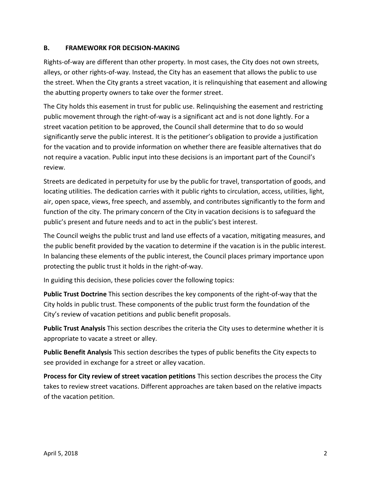#### <span id="page-3-0"></span>**B. FRAMEWORK FOR DECISION-MAKING**

Rights-of-way are different than other property. In most cases, the City does not own streets, alleys, or other rights-of-way. Instead, the City has an easement that allows the public to use the street. When the City grants a street vacation, it is relinquishing that easement and allowing the abutting property owners to take over the former street.

The City holds this easement in trust for public use. Relinquishing the easement and restricting public movement through the right-of-way is a significant act and is not done lightly. For a street vacation petition to be approved, the Council shall determine that to do so would significantly serve the public interest. It is the petitioner's obligation to provide a justification for the vacation and to provide information on whether there are feasible alternatives that do not require a vacation. Public input into these decisions is an important part of the Council's review.

Streets are dedicated in perpetuity for use by the public for travel, transportation of goods, and locating utilities. The dedication carries with it public rights to circulation, access, utilities, light, air, open space, views, free speech, and assembly, and contributes significantly to the form and function of the city. The primary concern of the City in vacation decisions is to safeguard the public's present and future needs and to act in the public's best interest.

The Council weighs the public trust and land use effects of a vacation, mitigating measures, and the public benefit provided by the vacation to determine if the vacation is in the public interest. In balancing these elements of the public interest, the Council places primary importance upon protecting the public trust it holds in the right-of-way.

In guiding this decision, these policies cover the following topics:

**Public Trust Doctrine** This section describes the key components of the right-of-way that the City holds in public trust. These components of the public trust form the foundation of the City's review of vacation petitions and public benefit proposals.

**Public Trust Analysis** This section describes the criteria the City uses to determine whether it is appropriate to vacate a street or alley.

**Public Benefit Analysis** This section describes the types of public benefits the City expects to see provided in exchange for a street or alley vacation.

**Process for City review of street vacation petitions** This section describes the process the City takes to review street vacations. Different approaches are taken based on the relative impacts of the vacation petition.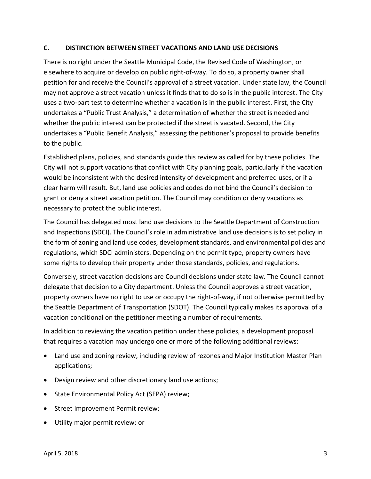#### <span id="page-4-0"></span>**C. DISTINCTION BETWEEN STREET VACATIONS AND LAND USE DECISIONS**

There is no right under the Seattle Municipal Code, the Revised Code of Washington, or elsewhere to acquire or develop on public right-of-way. To do so, a property owner shall petition for and receive the Council's approval of a street vacation. Under state law, the Council may not approve a street vacation unless it finds that to do so is in the public interest. The City uses a two-part test to determine whether a vacation is in the public interest. First, the City undertakes a "Public Trust Analysis," a determination of whether the street is needed and whether the public interest can be protected if the street is vacated. Second, the City undertakes a "Public Benefit Analysis," assessing the petitioner's proposal to provide benefits to the public.

Established plans, policies, and standards guide this review as called for by these policies. The City will not support vacations that conflict with City planning goals, particularly if the vacation would be inconsistent with the desired intensity of development and preferred uses, or if a clear harm will result. But, land use policies and codes do not bind the Council's decision to grant or deny a street vacation petition. The Council may condition or deny vacations as necessary to protect the public interest.

The Council has delegated most land use decisions to the Seattle Department of Construction and Inspections (SDCI). The Council's role in administrative land use decisions is to set policy in the form of zoning and land use codes, development standards, and environmental policies and regulations, which SDCI administers. Depending on the permit type, property owners have some rights to develop their property under those standards, policies, and regulations.

Conversely, street vacation decisions are Council decisions under state law. The Council cannot delegate that decision to a City department. Unless the Council approves a street vacation, property owners have no right to use or occupy the right-of-way, if not otherwise permitted by the Seattle Department of Transportation (SDOT). The Council typically makes its approval of a vacation conditional on the petitioner meeting a number of requirements.

In addition to reviewing the vacation petition under these policies, a development proposal that requires a vacation may undergo one or more of the following additional reviews:

- Land use and zoning review, including review of rezones and Major Institution Master Plan applications;
- Design review and other discretionary land use actions;
- State Environmental Policy Act (SEPA) review;
- Street Improvement Permit review;
- Utility major permit review; or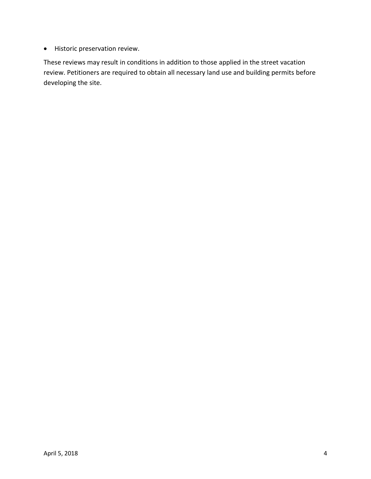Historic preservation review.

These reviews may result in conditions in addition to those applied in the street vacation review. Petitioners are required to obtain all necessary land use and building permits before developing the site.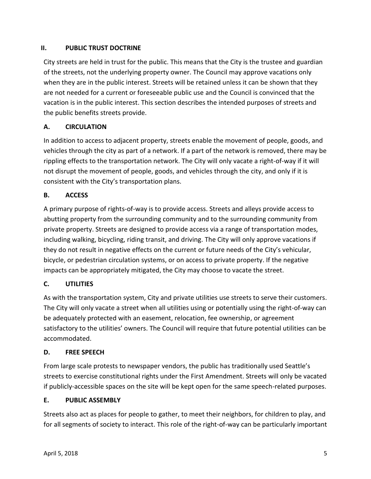#### <span id="page-6-0"></span>**II. PUBLIC TRUST DOCTRINE**

City streets are held in trust for the public. This means that the City is the trustee and guardian of the streets, not the underlying property owner. The Council may approve vacations only when they are in the public interest. Streets will be retained unless it can be shown that they are not needed for a current or foreseeable public use and the Council is convinced that the vacation is in the public interest. This section describes the intended purposes of streets and the public benefits streets provide.

# **A. CIRCULATION**

In addition to access to adjacent property, streets enable the movement of people, goods, and vehicles through the city as part of a network. If a part of the network is removed, there may be rippling effects to the transportation network. The City will only vacate a right-of-way if it will not disrupt the movement of people, goods, and vehicles through the city, and only if it is consistent with the City's transportation plans.

# **B. ACCESS**

A primary purpose of rights-of-way is to provide access. Streets and alleys provide access to abutting property from the surrounding community and to the surrounding community from private property. Streets are designed to provide access via a range of transportation modes, including walking, bicycling, riding transit, and driving. The City will only approve vacations if they do not result in negative effects on the current or future needs of the City's vehicular, bicycle, or pedestrian circulation systems, or on access to private property. If the negative impacts can be appropriately mitigated, the City may choose to vacate the street.

# **C. UTILITIES**

As with the transportation system, City and private utilities use streets to serve their customers. The City will only vacate a street when all utilities using or potentially using the right-of-way can be adequately protected with an easement, relocation, fee ownership, or agreement satisfactory to the utilities' owners. The Council will require that future potential utilities can be accommodated.

#### **D. FREE SPEECH**

From large scale protests to newspaper vendors, the public has traditionally used Seattle's streets to exercise constitutional rights under the First Amendment. Streets will only be vacated if publicly-accessible spaces on the site will be kept open for the same speech-related purposes.

#### **E. PUBLIC ASSEMBLY**

Streets also act as places for people to gather, to meet their neighbors, for children to play, and for all segments of society to interact. This role of the right-of-way can be particularly important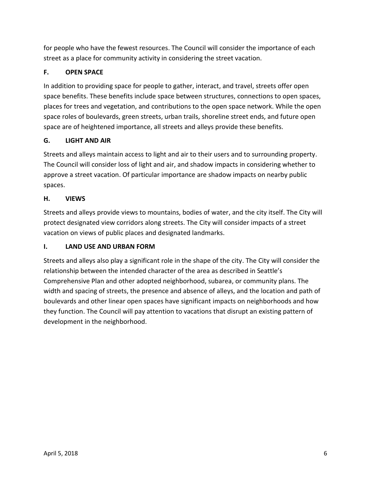for people who have the fewest resources. The Council will consider the importance of each street as a place for community activity in considering the street vacation.

# **F. OPEN SPACE**

In addition to providing space for people to gather, interact, and travel, streets offer open space benefits. These benefits include space between structures, connections to open spaces, places for trees and vegetation, and contributions to the open space network. While the open space roles of boulevards, green streets, urban trails, shoreline street ends, and future open space are of heightened importance, all streets and alleys provide these benefits.

#### **G. LIGHT AND AIR**

Streets and alleys maintain access to light and air to their users and to surrounding property. The Council will consider loss of light and air, and shadow impacts in considering whether to approve a street vacation. Of particular importance are shadow impacts on nearby public spaces.

#### **H. VIEWS**

Streets and alleys provide views to mountains, bodies of water, and the city itself. The City will protect designated view corridors along streets. The City will consider impacts of a street vacation on views of public places and designated landmarks.

#### **I. LAND USE AND URBAN FORM**

Streets and alleys also play a significant role in the shape of the city. The City will consider the relationship between the intended character of the area as described in Seattle's Comprehensive Plan and other adopted neighborhood, subarea, or community plans. The width and spacing of streets, the presence and absence of alleys, and the location and path of boulevards and other linear open spaces have significant impacts on neighborhoods and how they function. The Council will pay attention to vacations that disrupt an existing pattern of development in the neighborhood.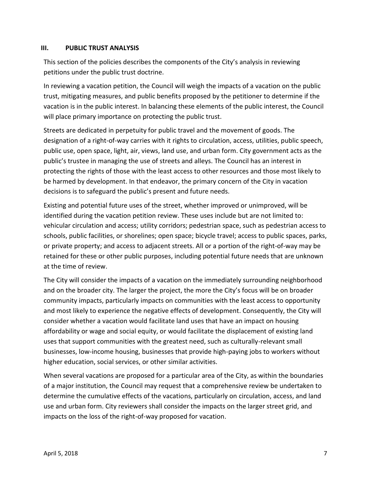#### <span id="page-8-0"></span>**III. PUBLIC TRUST ANALYSIS**

This section of the policies describes the components of the City's analysis in reviewing petitions under the public trust doctrine.

In reviewing a vacation petition, the Council will weigh the impacts of a vacation on the public trust, mitigating measures, and public benefits proposed by the petitioner to determine if the vacation is in the public interest. In balancing these elements of the public interest, the Council will place primary importance on protecting the public trust.

Streets are dedicated in perpetuity for public travel and the movement of goods. The designation of a right-of-way carries with it rights to circulation, access, utilities, public speech, public use, open space, light, air, views, land use, and urban form. City government acts as the public's trustee in managing the use of streets and alleys. The Council has an interest in protecting the rights of those with the least access to other resources and those most likely to be harmed by development. In that endeavor, the primary concern of the City in vacation decisions is to safeguard the public's present and future needs.

Existing and potential future uses of the street, whether improved or unimproved, will be identified during the vacation petition review. These uses include but are not limited to: vehicular circulation and access; utility corridors; pedestrian space, such as pedestrian access to schools, public facilities, or shorelines; open space; bicycle travel; access to public spaces, parks, or private property; and access to adjacent streets. All or a portion of the right-of-way may be retained for these or other public purposes, including potential future needs that are unknown at the time of review.

The City will consider the impacts of a vacation on the immediately surrounding neighborhood and on the broader city. The larger the project, the more the City's focus will be on broader community impacts, particularly impacts on communities with the least access to opportunity and most likely to experience the negative effects of development. Consequently, the City will consider whether a vacation would facilitate land uses that have an impact on housing affordability or wage and social equity, or would facilitate the displacement of existing land uses that support communities with the greatest need, such as culturally-relevant small businesses, low-income housing, businesses that provide high-paying jobs to workers without higher education, social services, or other similar activities.

When several vacations are proposed for a particular area of the City, as within the boundaries of a major institution, the Council may request that a comprehensive review be undertaken to determine the cumulative effects of the vacations, particularly on circulation, access, and land use and urban form. City reviewers shall consider the impacts on the larger street grid, and impacts on the loss of the right-of-way proposed for vacation.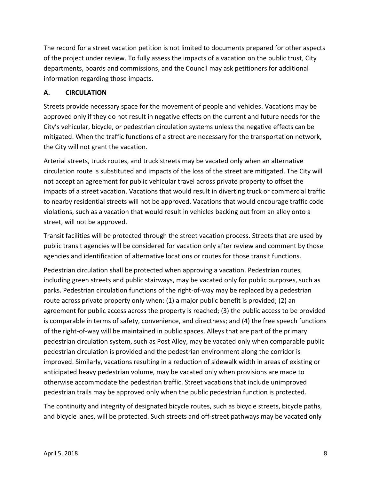The record for a street vacation petition is not limited to documents prepared for other aspects of the project under review. To fully assess the impacts of a vacation on the public trust, City departments, boards and commissions, and the Council may ask petitioners for additional information regarding those impacts.

#### <span id="page-9-0"></span>**A. CIRCULATION**

Streets provide necessary space for the movement of people and vehicles. Vacations may be approved only if they do not result in negative effects on the current and future needs for the City's vehicular, bicycle, or pedestrian circulation systems unless the negative effects can be mitigated. When the traffic functions of a street are necessary for the transportation network, the City will not grant the vacation.

Arterial streets, truck routes, and truck streets may be vacated only when an alternative circulation route is substituted and impacts of the loss of the street are mitigated. The City will not accept an agreement for public vehicular travel across private property to offset the impacts of a street vacation. Vacations that would result in diverting truck or commercial traffic to nearby residential streets will not be approved. Vacations that would encourage traffic code violations, such as a vacation that would result in vehicles backing out from an alley onto a street, will not be approved.

Transit facilities will be protected through the street vacation process. Streets that are used by public transit agencies will be considered for vacation only after review and comment by those agencies and identification of alternative locations or routes for those transit functions.

Pedestrian circulation shall be protected when approving a vacation. Pedestrian routes, including green streets and public stairways, may be vacated only for public purposes, such as parks. Pedestrian circulation functions of the right-of-way may be replaced by a pedestrian route across private property only when: (1) a major public benefit is provided; (2) an agreement for public access across the property is reached; (3) the public access to be provided is comparable in terms of safety, convenience, and directness; and (4) the free speech functions of the right-of-way will be maintained in public spaces. Alleys that are part of the primary pedestrian circulation system, such as Post Alley, may be vacated only when comparable public pedestrian circulation is provided and the pedestrian environment along the corridor is improved. Similarly, vacations resulting in a reduction of sidewalk width in areas of existing or anticipated heavy pedestrian volume, may be vacated only when provisions are made to otherwise accommodate the pedestrian traffic. Street vacations that include unimproved pedestrian trails may be approved only when the public pedestrian function is protected.

The continuity and integrity of designated bicycle routes, such as bicycle streets, bicycle paths, and bicycle lanes, will be protected. Such streets and off-street pathways may be vacated only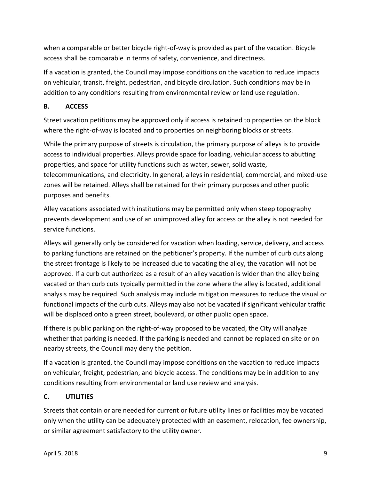when a comparable or better bicycle right-of-way is provided as part of the vacation. Bicycle access shall be comparable in terms of safety, convenience, and directness.

If a vacation is granted, the Council may impose conditions on the vacation to reduce impacts on vehicular, transit, freight, pedestrian, and bicycle circulation. Such conditions may be in addition to any conditions resulting from environmental review or land use regulation.

# <span id="page-10-0"></span>**B. ACCESS**

Street vacation petitions may be approved only if access is retained to properties on the block where the right-of-way is located and to properties on neighboring blocks or streets.

While the primary purpose of streets is circulation, the primary purpose of alleys is to provide access to individual properties. Alleys provide space for loading, vehicular access to abutting properties, and space for utility functions such as water, sewer, solid waste, telecommunications, and electricity. In general, alleys in residential, commercial, and mixed-use zones will be retained. Alleys shall be retained for their primary purposes and other public purposes and benefits.

Alley vacations associated with institutions may be permitted only when steep topography prevents development and use of an unimproved alley for access or the alley is not needed for service functions.

Alleys will generally only be considered for vacation when loading, service, delivery, and access to parking functions are retained on the petitioner's property. If the number of curb cuts along the street frontage is likely to be increased due to vacating the alley, the vacation will not be approved. If a curb cut authorized as a result of an alley vacation is wider than the alley being vacated or than curb cuts typically permitted in the zone where the alley is located, additional analysis may be required. Such analysis may include mitigation measures to reduce the visual or functional impacts of the curb cuts. Alleys may also not be vacated if significant vehicular traffic will be displaced onto a green street, boulevard, or other public open space.

If there is public parking on the right-of-way proposed to be vacated, the City will analyze whether that parking is needed. If the parking is needed and cannot be replaced on site or on nearby streets, the Council may deny the petition.

If a vacation is granted, the Council may impose conditions on the vacation to reduce impacts on vehicular, freight, pedestrian, and bicycle access. The conditions may be in addition to any conditions resulting from environmental or land use review and analysis.

# <span id="page-10-1"></span>**C. UTILITIES**

Streets that contain or are needed for current or future utility lines or facilities may be vacated only when the utility can be adequately protected with an easement, relocation, fee ownership, or similar agreement satisfactory to the utility owner.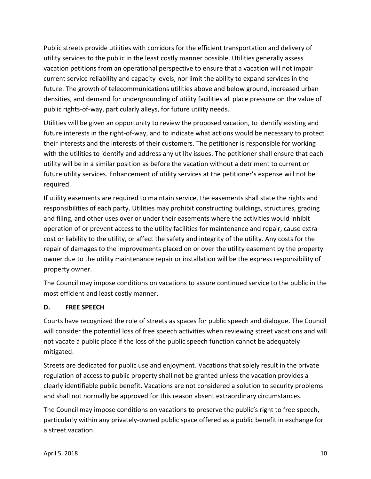Public streets provide utilities with corridors for the efficient transportation and delivery of utility services to the public in the least costly manner possible. Utilities generally assess vacation petitions from an operational perspective to ensure that a vacation will not impair current service reliability and capacity levels, nor limit the ability to expand services in the future. The growth of telecommunications utilities above and below ground, increased urban densities, and demand for undergrounding of utility facilities all place pressure on the value of public rights-of-way, particularly alleys, for future utility needs.

Utilities will be given an opportunity to review the proposed vacation, to identify existing and future interests in the right-of-way, and to indicate what actions would be necessary to protect their interests and the interests of their customers. The petitioner is responsible for working with the utilities to identify and address any utility issues. The petitioner shall ensure that each utility will be in a similar position as before the vacation without a detriment to current or future utility services. Enhancement of utility services at the petitioner's expense will not be required.

If utility easements are required to maintain service, the easements shall state the rights and responsibilities of each party. Utilities may prohibit constructing buildings, structures, grading and filing, and other uses over or under their easements where the activities would inhibit operation of or prevent access to the utility facilities for maintenance and repair, cause extra cost or liability to the utility, or affect the safety and integrity of the utility. Any costs for the repair of damages to the improvements placed on or over the utility easement by the property owner due to the utility maintenance repair or installation will be the express responsibility of property owner.

The Council may impose conditions on vacations to assure continued service to the public in the most efficient and least costly manner.

#### <span id="page-11-0"></span>**D. FREE SPEECH**

Courts have recognized the role of streets as spaces for public speech and dialogue. The Council will consider the potential loss of free speech activities when reviewing street vacations and will not vacate a public place if the loss of the public speech function cannot be adequately mitigated.

Streets are dedicated for public use and enjoyment. Vacations that solely result in the private regulation of access to public property shall not be granted unless the vacation provides a clearly identifiable public benefit. Vacations are not considered a solution to security problems and shall not normally be approved for this reason absent extraordinary circumstances.

The Council may impose conditions on vacations to preserve the public's right to free speech, particularly within any privately-owned public space offered as a public benefit in exchange for a street vacation.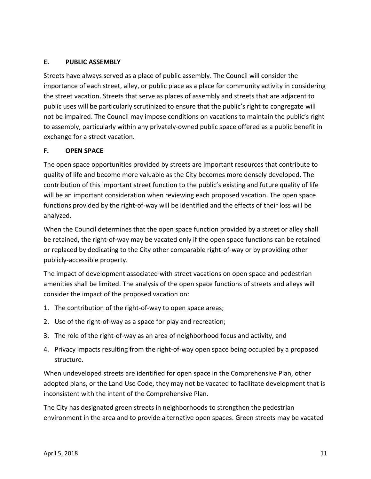#### <span id="page-12-0"></span>**E. PUBLIC ASSEMBLY**

Streets have always served as a place of public assembly. The Council will consider the importance of each street, alley, or public place as a place for community activity in considering the street vacation. Streets that serve as places of assembly and streets that are adjacent to public uses will be particularly scrutinized to ensure that the public's right to congregate will not be impaired. The Council may impose conditions on vacations to maintain the public's right to assembly, particularly within any privately-owned public space offered as a public benefit in exchange for a street vacation.

#### <span id="page-12-1"></span>**F. OPEN SPACE**

The open space opportunities provided by streets are important resources that contribute to quality of life and become more valuable as the City becomes more densely developed. The contribution of this important street function to the public's existing and future quality of life will be an important consideration when reviewing each proposed vacation. The open space functions provided by the right-of-way will be identified and the effects of their loss will be analyzed.

When the Council determines that the open space function provided by a street or alley shall be retained, the right-of-way may be vacated only if the open space functions can be retained or replaced by dedicating to the City other comparable right-of-way or by providing other publicly-accessible property.

The impact of development associated with street vacations on open space and pedestrian amenities shall be limited. The analysis of the open space functions of streets and alleys will consider the impact of the proposed vacation on:

- 1. The contribution of the right-of-way to open space areas;
- 2. Use of the right-of-way as a space for play and recreation;
- 3. The role of the right-of-way as an area of neighborhood focus and activity, and
- 4. Privacy impacts resulting from the right-of-way open space being occupied by a proposed structure.

When undeveloped streets are identified for open space in the Comprehensive Plan, other adopted plans, or the Land Use Code, they may not be vacated to facilitate development that is inconsistent with the intent of the Comprehensive Plan.

The City has designated green streets in neighborhoods to strengthen the pedestrian environment in the area and to provide alternative open spaces. Green streets may be vacated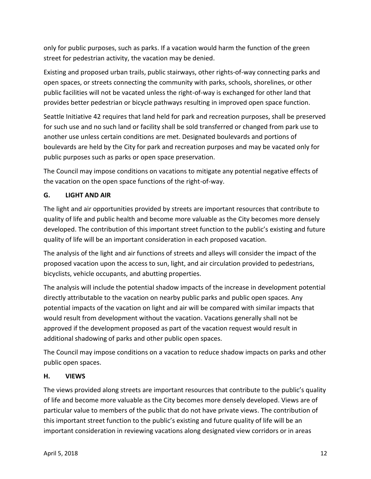only for public purposes, such as parks. If a vacation would harm the function of the green street for pedestrian activity, the vacation may be denied.

Existing and proposed urban trails, public stairways, other rights-of-way connecting parks and open spaces, or streets connecting the community with parks, schools, shorelines, or other public facilities will not be vacated unless the right-of-way is exchanged for other land that provides better pedestrian or bicycle pathways resulting in improved open space function.

Seattle Initiative 42 requires that land held for park and recreation purposes, shall be preserved for such use and no such land or facility shall be sold transferred or changed from park use to another use unless certain conditions are met. Designated boulevards and portions of boulevards are held by the City for park and recreation purposes and may be vacated only for public purposes such as parks or open space preservation.

The Council may impose conditions on vacations to mitigate any potential negative effects of the vacation on the open space functions of the right-of-way.

# <span id="page-13-0"></span>**G. LIGHT AND AIR**

The light and air opportunities provided by streets are important resources that contribute to quality of life and public health and become more valuable as the City becomes more densely developed. The contribution of this important street function to the public's existing and future quality of life will be an important consideration in each proposed vacation.

The analysis of the light and air functions of streets and alleys will consider the impact of the proposed vacation upon the access to sun, light, and air circulation provided to pedestrians, bicyclists, vehicle occupants, and abutting properties.

The analysis will include the potential shadow impacts of the increase in development potential directly attributable to the vacation on nearby public parks and public open spaces. Any potential impacts of the vacation on light and air will be compared with similar impacts that would result from development without the vacation. Vacations generally shall not be approved if the development proposed as part of the vacation request would result in additional shadowing of parks and other public open spaces.

The Council may impose conditions on a vacation to reduce shadow impacts on parks and other public open spaces.

#### <span id="page-13-1"></span>**H. VIEWS**

The views provided along streets are important resources that contribute to the public's quality of life and become more valuable as the City becomes more densely developed. Views are of particular value to members of the public that do not have private views. The contribution of this important street function to the public's existing and future quality of life will be an important consideration in reviewing vacations along designated view corridors or in areas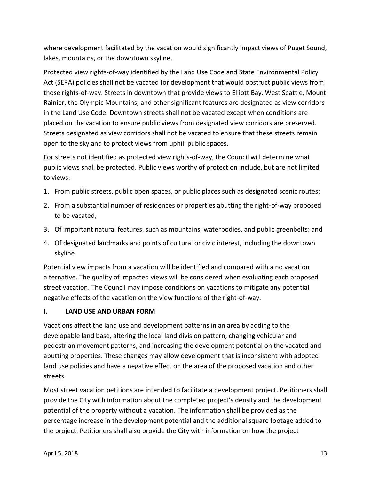where development facilitated by the vacation would significantly impact views of Puget Sound, lakes, mountains, or the downtown skyline.

Protected view rights-of-way identified by the Land Use Code and State Environmental Policy Act (SEPA) policies shall not be vacated for development that would obstruct public views from those rights-of-way. Streets in downtown that provide views to Elliott Bay, West Seattle, Mount Rainier, the Olympic Mountains, and other significant features are designated as view corridors in the Land Use Code. Downtown streets shall not be vacated except when conditions are placed on the vacation to ensure public views from designated view corridors are preserved. Streets designated as view corridors shall not be vacated to ensure that these streets remain open to the sky and to protect views from uphill public spaces.

For streets not identified as protected view rights-of-way, the Council will determine what public views shall be protected. Public views worthy of protection include, but are not limited to views:

- 1. From public streets, public open spaces, or public places such as designated scenic routes;
- 2. From a substantial number of residences or properties abutting the right-of-way proposed to be vacated,
- 3. Of important natural features, such as mountains, waterbodies, and public greenbelts; and
- 4. Of designated landmarks and points of cultural or civic interest, including the downtown skyline.

Potential view impacts from a vacation will be identified and compared with a no vacation alternative. The quality of impacted views will be considered when evaluating each proposed street vacation. The Council may impose conditions on vacations to mitigate any potential negative effects of the vacation on the view functions of the right-of-way.

#### <span id="page-14-0"></span>**I. LAND USE AND URBAN FORM**

Vacations affect the land use and development patterns in an area by adding to the developable land base, altering the local land division pattern, changing vehicular and pedestrian movement patterns, and increasing the development potential on the vacated and abutting properties. These changes may allow development that is inconsistent with adopted land use policies and have a negative effect on the area of the proposed vacation and other streets.

Most street vacation petitions are intended to facilitate a development project. Petitioners shall provide the City with information about the completed project's density and the development potential of the property without a vacation. The information shall be provided as the percentage increase in the development potential and the additional square footage added to the project. Petitioners shall also provide the City with information on how the project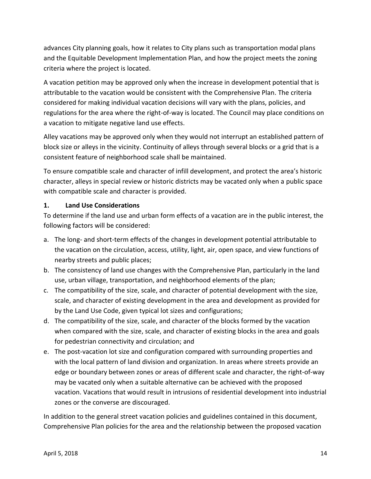advances City planning goals, how it relates to City plans such as transportation modal plans and the Equitable Development Implementation Plan, and how the project meets the zoning criteria where the project is located.

A vacation petition may be approved only when the increase in development potential that is attributable to the vacation would be consistent with the Comprehensive Plan. The criteria considered for making individual vacation decisions will vary with the plans, policies, and regulations for the area where the right-of-way is located. The Council may place conditions on a vacation to mitigate negative land use effects.

Alley vacations may be approved only when they would not interrupt an established pattern of block size or alleys in the vicinity. Continuity of alleys through several blocks or a grid that is a consistent feature of neighborhood scale shall be maintained.

To ensure compatible scale and character of infill development, and protect the area's historic character, alleys in special review or historic districts may be vacated only when a public space with compatible scale and character is provided.

#### **1. Land Use Considerations**

To determine if the land use and urban form effects of a vacation are in the public interest, the following factors will be considered:

- a. The long- and short-term effects of the changes in development potential attributable to the vacation on the circulation, access, utility, light, air, open space, and view functions of nearby streets and public places;
- b. The consistency of land use changes with the Comprehensive Plan, particularly in the land use, urban village, transportation, and neighborhood elements of the plan;
- c. The compatibility of the size, scale, and character of potential development with the size, scale, and character of existing development in the area and development as provided for by the Land Use Code, given typical lot sizes and configurations;
- d. The compatibility of the size, scale, and character of the blocks formed by the vacation when compared with the size, scale, and character of existing blocks in the area and goals for pedestrian connectivity and circulation; and
- e. The post-vacation lot size and configuration compared with surrounding properties and with the local pattern of land division and organization. In areas where streets provide an edge or boundary between zones or areas of different scale and character, the right-of-way may be vacated only when a suitable alternative can be achieved with the proposed vacation. Vacations that would result in intrusions of residential development into industrial zones or the converse are discouraged.

In addition to the general street vacation policies and guidelines contained in this document, Comprehensive Plan policies for the area and the relationship between the proposed vacation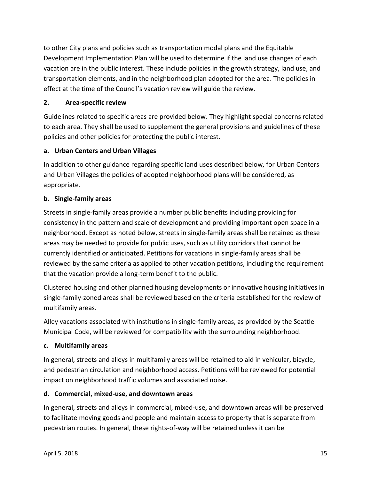to other City plans and policies such as transportation modal plans and the Equitable Development Implementation Plan will be used to determine if the land use changes of each vacation are in the public interest. These include policies in the growth strategy, land use, and transportation elements, and in the neighborhood plan adopted for the area. The policies in effect at the time of the Council's vacation review will guide the review.

#### **2. Area-specific review**

Guidelines related to specific areas are provided below. They highlight special concerns related to each area. They shall be used to supplement the general provisions and guidelines of these policies and other policies for protecting the public interest.

# **a. Urban Centers and Urban Villages**

In addition to other guidance regarding specific land uses described below, for Urban Centers and Urban Villages the policies of adopted neighborhood plans will be considered, as appropriate.

# **b. Single-family areas**

Streets in single-family areas provide a number public benefits including providing for consistency in the pattern and scale of development and providing important open space in a neighborhood. Except as noted below, streets in single-family areas shall be retained as these areas may be needed to provide for public uses, such as utility corridors that cannot be currently identified or anticipated. Petitions for vacations in single-family areas shall be reviewed by the same criteria as applied to other vacation petitions, including the requirement that the vacation provide a long-term benefit to the public.

Clustered housing and other planned housing developments or innovative housing initiatives in single-family-zoned areas shall be reviewed based on the criteria established for the review of multifamily areas.

Alley vacations associated with institutions in single-family areas, as provided by the Seattle Municipal Code, will be reviewed for compatibility with the surrounding neighborhood.

#### **c. Multifamily areas**

In general, streets and alleys in multifamily areas will be retained to aid in vehicular, bicycle, and pedestrian circulation and neighborhood access. Petitions will be reviewed for potential impact on neighborhood traffic volumes and associated noise.

#### **d. Commercial, mixed-use, and downtown areas**

In general, streets and alleys in commercial, mixed-use, and downtown areas will be preserved to facilitate moving goods and people and maintain access to property that is separate from pedestrian routes. In general, these rights-of-way will be retained unless it can be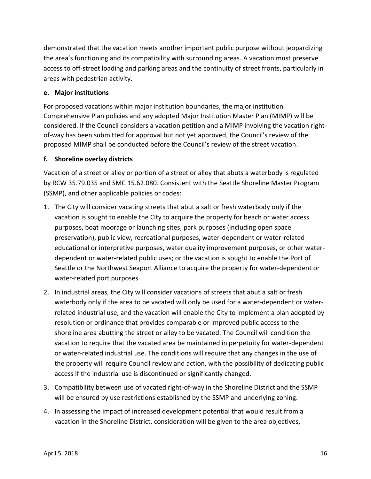demonstrated that the vacation meets another important public purpose without jeopardizing the area's functioning and its compatibility with surrounding areas. A vacation must preserve access to off-street loading and parking areas and the continuity of street fronts, particularly in areas with pedestrian activity.

#### **e. Major institutions**

For proposed vacations within major institution boundaries, the major institution Comprehensive Plan policies and any adopted Major Institution Master Plan (MIMP) will be considered. If the Council considers a vacation petition and a MIMP involving the vacation rightof-way has been submitted for approval but not yet approved, the Council's review of the proposed MIMP shall be conducted before the Council's review of the street vacation.

#### **f. Shoreline overlay districts**

Vacation of a street or alley or portion of a street or alley that abuts a waterbody is regulated by RCW 35.79.035 and SMC 15.62.080. Consistent with the Seattle Shoreline Master Program (SSMP), and other applicable policies or codes:

- 1. The City will consider vacating streets that abut a salt or fresh waterbody only if the vacation is sought to enable the City to acquire the property for beach or water access purposes, boat moorage or launching sites, park purposes (including open space preservation), public view, recreational purposes, water-dependent or water-related educational or interpretive purposes, water quality improvement purposes, or other waterdependent or water-related public uses; or the vacation is sought to enable the Port of Seattle or the Northwest Seaport Alliance to acquire the property for water-dependent or water-related port purposes.
- 2. In industrial areas, the City will consider vacations of streets that abut a salt or fresh waterbody only if the area to be vacated will only be used for a water-dependent or waterrelated industrial use, and the vacation will enable the City to implement a plan adopted by resolution or ordinance that provides comparable or improved public access to the shoreline area abutting the street or alley to be vacated. The Council will condition the vacation to require that the vacated area be maintained in perpetuity for water-dependent or water-related industrial use. The conditions will require that any changes in the use of the property will require Council review and action, with the possibility of dedicating public access if the industrial use is discontinued or significantly changed.
- 3. Compatibility between use of vacated right-of-way in the Shoreline District and the SSMP will be ensured by use restrictions established by the SSMP and underlying zoning.
- 4. In assessing the impact of increased development potential that would result from a vacation in the Shoreline District, consideration will be given to the area objectives,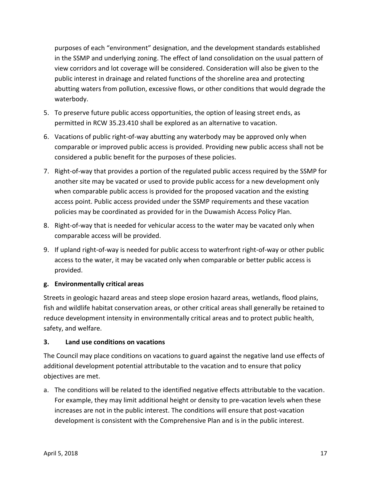purposes of each "environment" designation, and the development standards established in the SSMP and underlying zoning. The effect of land consolidation on the usual pattern of view corridors and lot coverage will be considered. Consideration will also be given to the public interest in drainage and related functions of the shoreline area and protecting abutting waters from pollution, excessive flows, or other conditions that would degrade the waterbody.

- 5. To preserve future public access opportunities, the option of leasing street ends, as permitted in RCW 35.23.410 shall be explored as an alternative to vacation.
- 6. Vacations of public right-of-way abutting any waterbody may be approved only when comparable or improved public access is provided. Providing new public access shall not be considered a public benefit for the purposes of these policies.
- 7. Right-of-way that provides a portion of the regulated public access required by the SSMP for another site may be vacated or used to provide public access for a new development only when comparable public access is provided for the proposed vacation and the existing access point. Public access provided under the SSMP requirements and these vacation policies may be coordinated as provided for in the Duwamish Access Policy Plan.
- 8. Right-of-way that is needed for vehicular access to the water may be vacated only when comparable access will be provided.
- 9. If upland right-of-way is needed for public access to waterfront right-of-way or other public access to the water, it may be vacated only when comparable or better public access is provided.

# **g. Environmentally critical areas**

Streets in geologic hazard areas and steep slope erosion hazard areas, wetlands, flood plains, fish and wildlife habitat conservation areas, or other critical areas shall generally be retained to reduce development intensity in environmentally critical areas and to protect public health, safety, and welfare.

#### **3. Land use conditions on vacations**

The Council may place conditions on vacations to guard against the negative land use effects of additional development potential attributable to the vacation and to ensure that policy objectives are met.

a. The conditions will be related to the identified negative effects attributable to the vacation. For example, they may limit additional height or density to pre-vacation levels when these increases are not in the public interest. The conditions will ensure that post-vacation development is consistent with the Comprehensive Plan and is in the public interest.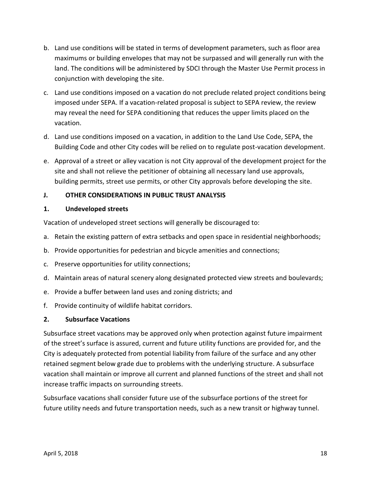- b. Land use conditions will be stated in terms of development parameters, such as floor area maximums or building envelopes that may not be surpassed and will generally run with the land. The conditions will be administered by SDCI through the Master Use Permit process in conjunction with developing the site.
- c. Land use conditions imposed on a vacation do not preclude related project conditions being imposed under SEPA. If a vacation-related proposal is subject to SEPA review, the review may reveal the need for SEPA conditioning that reduces the upper limits placed on the vacation.
- d. Land use conditions imposed on a vacation, in addition to the Land Use Code, SEPA, the Building Code and other City codes will be relied on to regulate post-vacation development.
- e. Approval of a street or alley vacation is not City approval of the development project for the site and shall not relieve the petitioner of obtaining all necessary land use approvals, building permits, street use permits, or other City approvals before developing the site.

# <span id="page-19-0"></span>**J. OTHER CONSIDERATIONS IN PUBLIC TRUST ANALYSIS**

#### **1. Undeveloped streets**

Vacation of undeveloped street sections will generally be discouraged to:

- a. Retain the existing pattern of extra setbacks and open space in residential neighborhoods;
- b. Provide opportunities for pedestrian and bicycle amenities and connections;
- c. Preserve opportunities for utility connections;
- d. Maintain areas of natural scenery along designated protected view streets and boulevards;
- e. Provide a buffer between land uses and zoning districts; and
- f. Provide continuity of wildlife habitat corridors.

#### **2. Subsurface Vacations**

Subsurface street vacations may be approved only when protection against future impairment of the street's surface is assured, current and future utility functions are provided for, and the City is adequately protected from potential liability from failure of the surface and any other retained segment below grade due to problems with the underlying structure. A subsurface vacation shall maintain or improve all current and planned functions of the street and shall not increase traffic impacts on surrounding streets.

Subsurface vacations shall consider future use of the subsurface portions of the street for future utility needs and future transportation needs, such as a new transit or highway tunnel.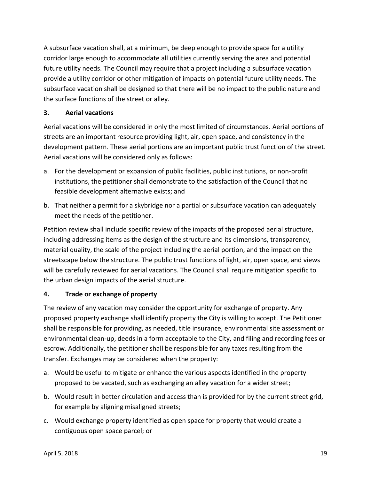A subsurface vacation shall, at a minimum, be deep enough to provide space for a utility corridor large enough to accommodate all utilities currently serving the area and potential future utility needs. The Council may require that a project including a subsurface vacation provide a utility corridor or other mitigation of impacts on potential future utility needs. The subsurface vacation shall be designed so that there will be no impact to the public nature and the surface functions of the street or alley.

#### **3. Aerial vacations**

Aerial vacations will be considered in only the most limited of circumstances. Aerial portions of streets are an important resource providing light, air, open space, and consistency in the development pattern. These aerial portions are an important public trust function of the street. Aerial vacations will be considered only as follows:

- a. For the development or expansion of public facilities, public institutions, or non-profit institutions, the petitioner shall demonstrate to the satisfaction of the Council that no feasible development alternative exists; and
- b. That neither a permit for a skybridge nor a partial or subsurface vacation can adequately meet the needs of the petitioner.

Petition review shall include specific review of the impacts of the proposed aerial structure, including addressing items as the design of the structure and its dimensions, transparency, material quality, the scale of the project including the aerial portion, and the impact on the streetscape below the structure. The public trust functions of light, air, open space, and views will be carefully reviewed for aerial vacations. The Council shall require mitigation specific to the urban design impacts of the aerial structure.

#### **4. Trade or exchange of property**

The review of any vacation may consider the opportunity for exchange of property. Any proposed property exchange shall identify property the City is willing to accept. The Petitioner shall be responsible for providing, as needed, title insurance, environmental site assessment or environmental clean-up, deeds in a form acceptable to the City, and filing and recording fees or escrow. Additionally, the petitioner shall be responsible for any taxes resulting from the transfer. Exchanges may be considered when the property:

- a. Would be useful to mitigate or enhance the various aspects identified in the property proposed to be vacated, such as exchanging an alley vacation for a wider street;
- b. Would result in better circulation and access than is provided for by the current street grid, for example by aligning misaligned streets;
- c. Would exchange property identified as open space for property that would create a contiguous open space parcel; or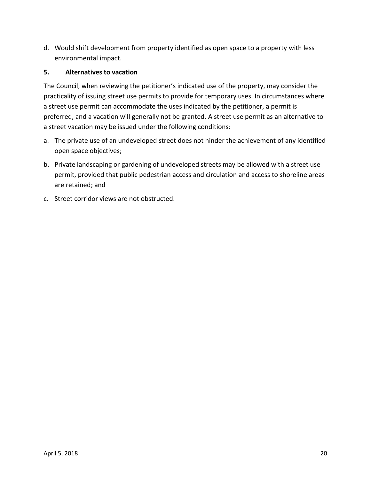d. Would shift development from property identified as open space to a property with less environmental impact.

#### **5. Alternatives to vacation**

The Council, when reviewing the petitioner's indicated use of the property, may consider the practicality of issuing street use permits to provide for temporary uses. In circumstances where a street use permit can accommodate the uses indicated by the petitioner, a permit is preferred, and a vacation will generally not be granted. A street use permit as an alternative to a street vacation may be issued under the following conditions:

- a. The private use of an undeveloped street does not hinder the achievement of any identified open space objectives;
- b. Private landscaping or gardening of undeveloped streets may be allowed with a street use permit, provided that public pedestrian access and circulation and access to shoreline areas are retained; and
- c. Street corridor views are not obstructed.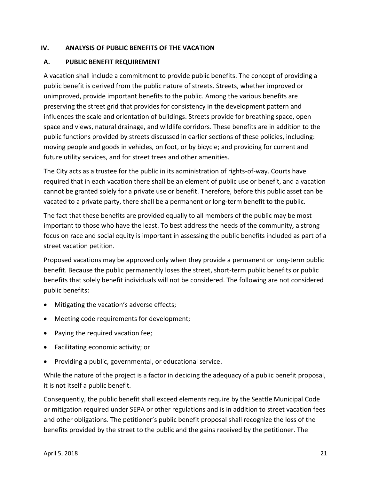#### <span id="page-22-0"></span>**IV. ANALYSIS OF PUBLIC BENEFITS OF THE VACATION**

#### <span id="page-22-1"></span>**A. PUBLIC BENEFIT REQUIREMENT**

A vacation shall include a commitment to provide public benefits. The concept of providing a public benefit is derived from the public nature of streets. Streets, whether improved or unimproved, provide important benefits to the public. Among the various benefits are preserving the street grid that provides for consistency in the development pattern and influences the scale and orientation of buildings. Streets provide for breathing space, open space and views, natural drainage, and wildlife corridors. These benefits are in addition to the public functions provided by streets discussed in earlier sections of these policies, including: moving people and goods in vehicles, on foot, or by bicycle; and providing for current and future utility services, and for street trees and other amenities.

The City acts as a trustee for the public in its administration of rights-of-way. Courts have required that in each vacation there shall be an element of public use or benefit, and a vacation cannot be granted solely for a private use or benefit. Therefore, before this public asset can be vacated to a private party, there shall be a permanent or long-term benefit to the public.

The fact that these benefits are provided equally to all members of the public may be most important to those who have the least. To best address the needs of the community, a strong focus on race and social equity is important in assessing the public benefits included as part of a street vacation petition.

Proposed vacations may be approved only when they provide a permanent or long-term public benefit. Because the public permanently loses the street, short-term public benefits or public benefits that solely benefit individuals will not be considered. The following are not considered public benefits:

- Mitigating the vacation's adverse effects;
- Meeting code requirements for development;
- Paying the required vacation fee;
- Facilitating economic activity; or
- Providing a public, governmental, or educational service.

While the nature of the project is a factor in deciding the adequacy of a public benefit proposal, it is not itself a public benefit.

Consequently, the public benefit shall exceed elements require by the Seattle Municipal Code or mitigation required under SEPA or other regulations and is in addition to street vacation fees and other obligations. The petitioner's public benefit proposal shall recognize the loss of the benefits provided by the street to the public and the gains received by the petitioner. The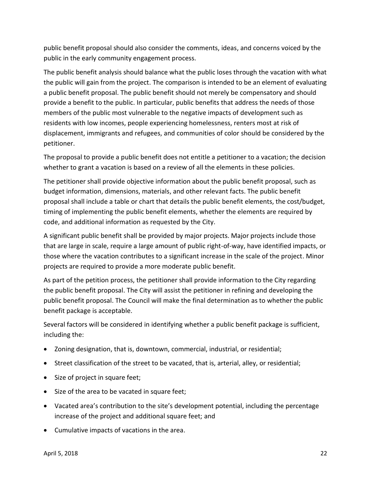public benefit proposal should also consider the comments, ideas, and concerns voiced by the public in the early community engagement process.

The public benefit analysis should balance what the public loses through the vacation with what the public will gain from the project. The comparison is intended to be an element of evaluating a public benefit proposal. The public benefit should not merely be compensatory and should provide a benefit to the public. In particular, public benefits that address the needs of those members of the public most vulnerable to the negative impacts of development such as residents with low incomes, people experiencing homelessness, renters most at risk of displacement, immigrants and refugees, and communities of color should be considered by the petitioner.

The proposal to provide a public benefit does not entitle a petitioner to a vacation; the decision whether to grant a vacation is based on a review of all the elements in these policies.

The petitioner shall provide objective information about the public benefit proposal, such as budget information, dimensions, materials, and other relevant facts. The public benefit proposal shall include a table or chart that details the public benefit elements, the cost/budget, timing of implementing the public benefit elements, whether the elements are required by code, and additional information as requested by the City.

A significant public benefit shall be provided by major projects. Major projects include those that are large in scale, require a large amount of public right-of-way, have identified impacts, or those where the vacation contributes to a significant increase in the scale of the project. Minor projects are required to provide a more moderate public benefit.

As part of the petition process, the petitioner shall provide information to the City regarding the public benefit proposal. The City will assist the petitioner in refining and developing the public benefit proposal. The Council will make the final determination as to whether the public benefit package is acceptable.

Several factors will be considered in identifying whether a public benefit package is sufficient, including the:

- Zoning designation, that is, downtown, commercial, industrial, or residential;
- Street classification of the street to be vacated, that is, arterial, alley, or residential;
- Size of project in square feet;
- Size of the area to be vacated in square feet;
- Vacated area's contribution to the site's development potential, including the percentage increase of the project and additional square feet; and
- Cumulative impacts of vacations in the area.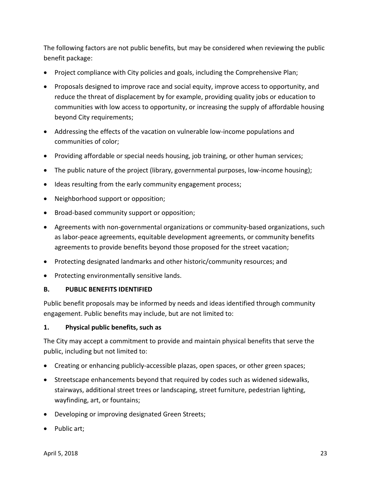The following factors are not public benefits, but may be considered when reviewing the public benefit package:

- Project compliance with City policies and goals, including the Comprehensive Plan;
- Proposals designed to improve race and social equity, improve access to opportunity, and reduce the threat of displacement by for example, providing quality jobs or education to communities with low access to opportunity, or increasing the supply of affordable housing beyond City requirements;
- Addressing the effects of the vacation on vulnerable low-income populations and communities of color;
- Providing affordable or special needs housing, job training, or other human services;
- The public nature of the project (library, governmental purposes, low-income housing);
- Ideas resulting from the early community engagement process;
- Neighborhood support or opposition;
- Broad-based community support or opposition;
- Agreements with non-governmental organizations or community-based organizations, such as labor-peace agreements, equitable development agreements, or community benefits agreements to provide benefits beyond those proposed for the street vacation;
- Protecting designated landmarks and other historic/community resources; and
- Protecting environmentally sensitive lands.

#### <span id="page-24-0"></span>**B. PUBLIC BENEFITS IDENTIFIED**

Public benefit proposals may be informed by needs and ideas identified through community engagement. Public benefits may include, but are not limited to:

#### **1. Physical public benefits, such as**

The City may accept a commitment to provide and maintain physical benefits that serve the public, including but not limited to:

- Creating or enhancing publicly-accessible plazas, open spaces, or other green spaces;
- Streetscape enhancements beyond that required by codes such as widened sidewalks, stairways, additional street trees or landscaping, street furniture, pedestrian lighting, wayfinding, art, or fountains;
- Developing or improving designated Green Streets;
- Public art;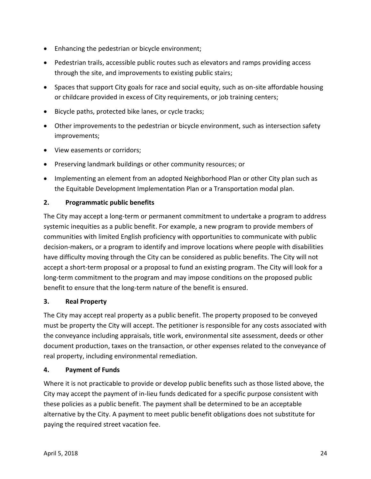- Enhancing the pedestrian or bicycle environment;
- Pedestrian trails, accessible public routes such as elevators and ramps providing access through the site, and improvements to existing public stairs;
- Spaces that support City goals for race and social equity, such as on-site affordable housing or childcare provided in excess of City requirements, or job training centers;
- Bicycle paths, protected bike lanes, or cycle tracks;
- Other improvements to the pedestrian or bicycle environment, such as intersection safety improvements;
- View easements or corridors;
- Preserving landmark buildings or other community resources; or
- Implementing an element from an adopted Neighborhood Plan or other City plan such as the Equitable Development Implementation Plan or a Transportation modal plan.

#### **2. Programmatic public benefits**

The City may accept a long-term or permanent commitment to undertake a program to address systemic inequities as a public benefit. For example, a new program to provide members of communities with limited English proficiency with opportunities to communicate with public decision-makers, or a program to identify and improve locations where people with disabilities have difficulty moving through the City can be considered as public benefits. The City will not accept a short-term proposal or a proposal to fund an existing program. The City will look for a long-term commitment to the program and may impose conditions on the proposed public benefit to ensure that the long-term nature of the benefit is ensured.

#### **3. Real Property**

The City may accept real property as a public benefit. The property proposed to be conveyed must be property the City will accept. The petitioner is responsible for any costs associated with the conveyance including appraisals, title work, environmental site assessment, deeds or other document production, taxes on the transaction, or other expenses related to the conveyance of real property, including environmental remediation.

#### **4. Payment of Funds**

Where it is not practicable to provide or develop public benefits such as those listed above, the City may accept the payment of in-lieu funds dedicated for a specific purpose consistent with these policies as a public benefit. The payment shall be determined to be an acceptable alternative by the City. A payment to meet public benefit obligations does not substitute for paying the required street vacation fee.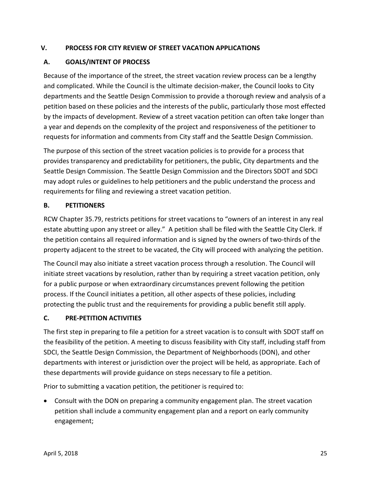#### <span id="page-26-0"></span>**V. PROCESS FOR CITY REVIEW OF STREET VACATION APPLICATIONS**

#### <span id="page-26-1"></span>**A. GOALS/INTENT OF PROCESS**

Because of the importance of the street, the street vacation review process can be a lengthy and complicated. While the Council is the ultimate decision-maker, the Council looks to City departments and the Seattle Design Commission to provide a thorough review and analysis of a petition based on these policies and the interests of the public, particularly those most effected by the impacts of development. Review of a street vacation petition can often take longer than a year and depends on the complexity of the project and responsiveness of the petitioner to requests for information and comments from City staff and the Seattle Design Commission.

The purpose of this section of the street vacation policies is to provide for a process that provides transparency and predictability for petitioners, the public, City departments and the Seattle Design Commission. The Seattle Design Commission and the Directors SDOT and SDCI may adopt rules or guidelines to help petitioners and the public understand the process and requirements for filing and reviewing a street vacation petition.

#### <span id="page-26-2"></span>**B. PETITIONERS**

RCW Chapter 35.79, restricts petitions for street vacations to "owners of an interest in any real estate abutting upon any street or alley." A petition shall be filed with the Seattle City Clerk. If the petition contains all required information and is signed by the owners of two-thirds of the property adjacent to the street to be vacated, the City will proceed with analyzing the petition.

The Council may also initiate a street vacation process through a resolution. The Council will initiate street vacations by resolution, rather than by requiring a street vacation petition, only for a public purpose or when extraordinary circumstances prevent following the petition process. If the Council initiates a petition, all other aspects of these policies, including protecting the public trust and the requirements for providing a public benefit still apply.

#### <span id="page-26-3"></span>**C. PRE-PETITION ACTIVITIES**

The first step in preparing to file a petition for a street vacation is to consult with SDOT staff on the feasibility of the petition. A meeting to discuss feasibility with City staff, including staff from SDCI, the Seattle Design Commission, the Department of Neighborhoods (DON), and other departments with interest or jurisdiction over the project will be held, as appropriate. Each of these departments will provide guidance on steps necessary to file a petition.

Prior to submitting a vacation petition, the petitioner is required to:

 Consult with the DON on preparing a community engagement plan. The street vacation petition shall include a community engagement plan and a report on early community engagement;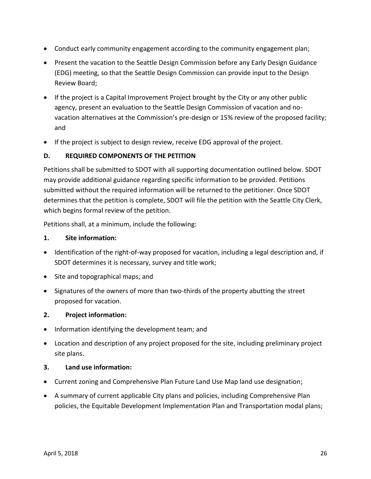- Conduct early community engagement according to the community engagement plan;
- Present the vacation to the Seattle Design Commission before any Early Design Guidance (EDG) meeting, so that the Seattle Design Commission can provide input to the Design Review Board;
- If the project is a Capital Improvement Project brought by the City or any other public agency, present an evaluation to the Seattle Design Commission of vacation and novacation alternatives at the Commission's pre-design or 15% review of the proposed facility; and
- If the project is subject to design review, receive EDG approval of the project.

#### <span id="page-27-0"></span>**D. REQUIRED COMPONENTS OF THE PETITION**

Petitions shall be submitted to SDOT with all supporting documentation outlined below. SDOT may provide additional guidance regarding specific information to be provided. Petitions submitted without the required information will be returned to the petitioner. Once SDOT determines that the petition is complete, SDOT will file the petition with the Seattle City Clerk, which begins formal review of the petition.

Petitions shall, at a minimum, include the following:

#### **1. Site information:**

- Identification of the right-of-way proposed for vacation, including a legal description and, if SDOT determines it is necessary, survey and title work;
- Site and topographical maps; and
- Signatures of the owners of more than two-thirds of the property abutting the street proposed for vacation.

#### **2. Project information:**

- Information identifying the development team; and
- Location and description of any project proposed for the site, including preliminary project site plans.

#### **3. Land use information:**

- Current zoning and Comprehensive Plan Future Land Use Map land use designation;
- A summary of current applicable City plans and policies, including Comprehensive Plan policies, the Equitable Development Implementation Plan and Transportation modal plans;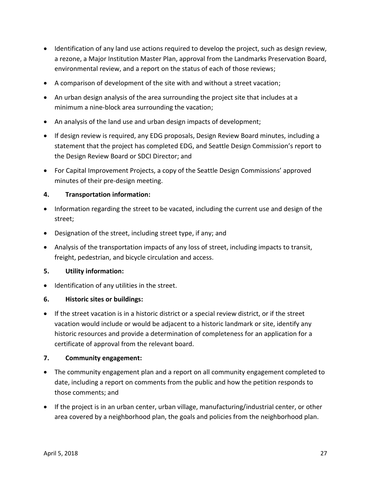- Identification of any land use actions required to develop the project, such as design review, a rezone, a Major Institution Master Plan, approval from the Landmarks Preservation Board, environmental review, and a report on the status of each of those reviews;
- A comparison of development of the site with and without a street vacation;
- An urban design analysis of the area surrounding the project site that includes at a minimum a nine-block area surrounding the vacation;
- An analysis of the land use and urban design impacts of development;
- If design review is required, any EDG proposals, Design Review Board minutes, including a statement that the project has completed EDG, and Seattle Design Commission's report to the Design Review Board or SDCI Director; and
- For Capital Improvement Projects, a copy of the Seattle Design Commissions' approved minutes of their pre-design meeting.

#### **4. Transportation information:**

- Information regarding the street to be vacated, including the current use and design of the street;
- Designation of the street, including street type, if any; and
- Analysis of the transportation impacts of any loss of street, including impacts to transit, freight, pedestrian, and bicycle circulation and access.

#### **5. Utility information:**

• Identification of any utilities in the street.

#### **6. Historic sites or buildings:**

 If the street vacation is in a historic district or a special review district, or if the street vacation would include or would be adjacent to a historic landmark or site, identify any historic resources and provide a determination of completeness for an application for a certificate of approval from the relevant board.

#### **7. Community engagement:**

- The community engagement plan and a report on all community engagement completed to date, including a report on comments from the public and how the petition responds to those comments; and
- If the project is in an urban center, urban village, manufacturing/industrial center, or other area covered by a neighborhood plan, the goals and policies from the neighborhood plan.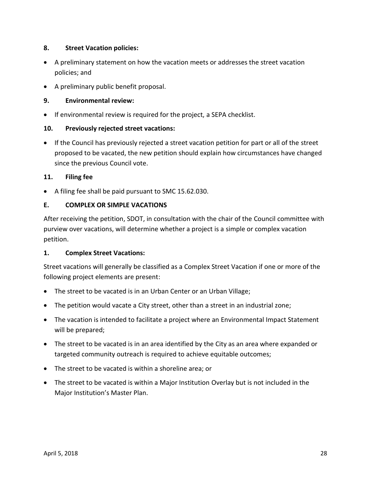#### **8. Street Vacation policies:**

- A preliminary statement on how the vacation meets or addresses the street vacation policies; and
- A preliminary public benefit proposal.

#### **9. Environmental review:**

If environmental review is required for the project, a SEPA checklist.

#### **10. Previously rejected street vacations:**

 If the Council has previously rejected a street vacation petition for part or all of the street proposed to be vacated, the new petition should explain how circumstances have changed since the previous Council vote.

#### **11. Filing fee**

A filing fee shall be paid pursuant to SMC 15.62.030.

#### <span id="page-29-0"></span>**E. COMPLEX OR SIMPLE VACATIONS**

After receiving the petition, SDOT, in consultation with the chair of the Council committee with purview over vacations, will determine whether a project is a simple or complex vacation petition.

#### **1. Complex Street Vacations:**

Street vacations will generally be classified as a Complex Street Vacation if one or more of the following project elements are present:

- The street to be vacated is in an Urban Center or an Urban Village;
- The petition would vacate a City street, other than a street in an industrial zone;
- The vacation is intended to facilitate a project where an Environmental Impact Statement will be prepared;
- The street to be vacated is in an area identified by the City as an area where expanded or targeted community outreach is required to achieve equitable outcomes;
- The street to be vacated is within a shoreline area; or
- The street to be vacated is within a Major Institution Overlay but is not included in the Major Institution's Master Plan.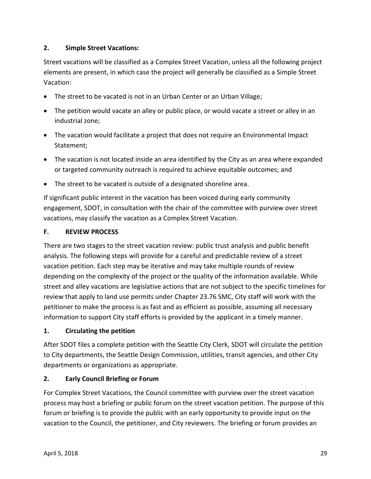#### **2. Simple Street Vacations:**

Street vacations will be classified as a Complex Street Vacation, unless all the following project elements are present, in which case the project will generally be classified as a Simple Street Vacation:

- The street to be vacated is not in an Urban Center or an Urban Village;
- The petition would vacate an alley or public place, or would vacate a street or alley in an industrial zone;
- The vacation would facilitate a project that does not require an Environmental Impact Statement;
- The vacation is not located inside an area identified by the City as an area where expanded or targeted community outreach is required to achieve equitable outcomes; and
- The street to be vacated is outside of a designated shoreline area.

If significant public interest in the vacation has been voiced during early community engagement, SDOT, in consultation with the chair of the committee with purview over street vacations, may classify the vacation as a Complex Street Vacation.

#### <span id="page-30-0"></span>**F. REVIEW PROCESS**

There are two stages to the street vacation review: public trust analysis and public benefit analysis. The following steps will provide for a careful and predictable review of a street vacation petition. Each step may be iterative and may take multiple rounds of review depending on the complexity of the project or the quality of the information available. While street and alley vacations are legislative actions that are not subject to the specific timelines for review that apply to land use permits under Chapter 23.76 SMC, City staff will work with the petitioner to make the process is as fast and as efficient as possible, assuming all necessary information to support City staff efforts is provided by the applicant in a timely manner.

#### **1. Circulating the petition**

After SDOT files a complete petition with the Seattle City Clerk, SDOT will circulate the petition to City departments, the Seattle Design Commission, utilities, transit agencies, and other City departments or organizations as appropriate.

#### **2. Early Council Briefing or Forum**

For Complex Street Vacations, the Council committee with purview over the street vacation process may host a briefing or public forum on the street vacation petition. The purpose of this forum or briefing is to provide the public with an early opportunity to provide input on the vacation to the Council, the petitioner, and City reviewers. The briefing or forum provides an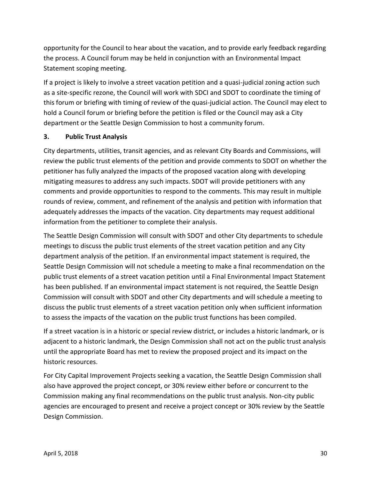opportunity for the Council to hear about the vacation, and to provide early feedback regarding the process. A Council forum may be held in conjunction with an Environmental Impact Statement scoping meeting.

If a project is likely to involve a street vacation petition and a quasi-judicial zoning action such as a site-specific rezone, the Council will work with SDCI and SDOT to coordinate the timing of this forum or briefing with timing of review of the quasi-judicial action. The Council may elect to hold a Council forum or briefing before the petition is filed or the Council may ask a City department or the Seattle Design Commission to host a community forum.

#### **3. Public Trust Analysis**

City departments, utilities, transit agencies, and as relevant City Boards and Commissions, will review the public trust elements of the petition and provide comments to SDOT on whether the petitioner has fully analyzed the impacts of the proposed vacation along with developing mitigating measures to address any such impacts. SDOT will provide petitioners with any comments and provide opportunities to respond to the comments. This may result in multiple rounds of review, comment, and refinement of the analysis and petition with information that adequately addresses the impacts of the vacation. City departments may request additional information from the petitioner to complete their analysis.

The Seattle Design Commission will consult with SDOT and other City departments to schedule meetings to discuss the public trust elements of the street vacation petition and any City department analysis of the petition. If an environmental impact statement is required, the Seattle Design Commission will not schedule a meeting to make a final recommendation on the public trust elements of a street vacation petition until a Final Environmental Impact Statement has been published. If an environmental impact statement is not required, the Seattle Design Commission will consult with SDOT and other City departments and will schedule a meeting to discuss the public trust elements of a street vacation petition only when sufficient information to assess the impacts of the vacation on the public trust functions has been compiled.

If a street vacation is in a historic or special review district, or includes a historic landmark, or is adjacent to a historic landmark, the Design Commission shall not act on the public trust analysis until the appropriate Board has met to review the proposed project and its impact on the historic resources.

For City Capital Improvement Projects seeking a vacation, the Seattle Design Commission shall also have approved the project concept, or 30% review either before or concurrent to the Commission making any final recommendations on the public trust analysis. Non-city public agencies are encouraged to present and receive a project concept or 30% review by the Seattle Design Commission.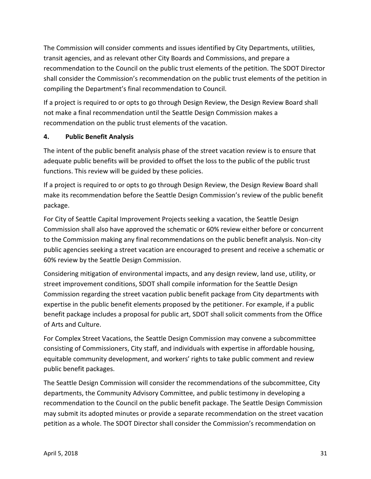The Commission will consider comments and issues identified by City Departments, utilities, transit agencies, and as relevant other City Boards and Commissions, and prepare a recommendation to the Council on the public trust elements of the petition. The SDOT Director shall consider the Commission's recommendation on the public trust elements of the petition in compiling the Department's final recommendation to Council.

If a project is required to or opts to go through Design Review, the Design Review Board shall not make a final recommendation until the Seattle Design Commission makes a recommendation on the public trust elements of the vacation.

#### **4. Public Benefit Analysis**

The intent of the public benefit analysis phase of the street vacation review is to ensure that adequate public benefits will be provided to offset the loss to the public of the public trust functions. This review will be guided by these policies.

If a project is required to or opts to go through Design Review, the Design Review Board shall make its recommendation before the Seattle Design Commission's review of the public benefit package.

For City of Seattle Capital Improvement Projects seeking a vacation, the Seattle Design Commission shall also have approved the schematic or 60% review either before or concurrent to the Commission making any final recommendations on the public benefit analysis. Non-city public agencies seeking a street vacation are encouraged to present and receive a schematic or 60% review by the Seattle Design Commission.

Considering mitigation of environmental impacts, and any design review, land use, utility, or street improvement conditions, SDOT shall compile information for the Seattle Design Commission regarding the street vacation public benefit package from City departments with expertise in the public benefit elements proposed by the petitioner. For example, if a public benefit package includes a proposal for public art, SDOT shall solicit comments from the Office of Arts and Culture.

For Complex Street Vacations, the Seattle Design Commission may convene a subcommittee consisting of Commissioners, City staff, and individuals with expertise in affordable housing, equitable community development, and workers' rights to take public comment and review public benefit packages.

The Seattle Design Commission will consider the recommendations of the subcommittee, City departments, the Community Advisory Committee, and public testimony in developing a recommendation to the Council on the public benefit package. The Seattle Design Commission may submit its adopted minutes or provide a separate recommendation on the street vacation petition as a whole. The SDOT Director shall consider the Commission's recommendation on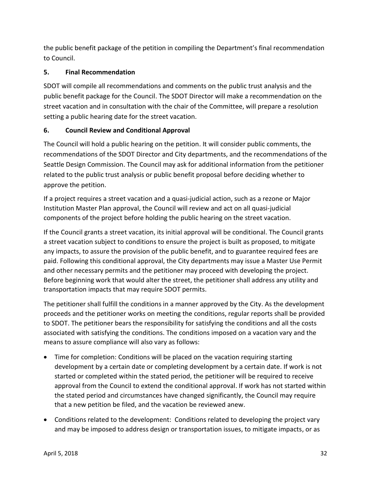the public benefit package of the petition in compiling the Department's final recommendation to Council.

# **5. Final Recommendation**

SDOT will compile all recommendations and comments on the public trust analysis and the public benefit package for the Council. The SDOT Director will make a recommendation on the street vacation and in consultation with the chair of the Committee, will prepare a resolution setting a public hearing date for the street vacation.

# **6. Council Review and Conditional Approval**

The Council will hold a public hearing on the petition. It will consider public comments, the recommendations of the SDOT Director and City departments, and the recommendations of the Seattle Design Commission. The Council may ask for additional information from the petitioner related to the public trust analysis or public benefit proposal before deciding whether to approve the petition.

If a project requires a street vacation and a quasi-judicial action, such as a rezone or Major Institution Master Plan approval, the Council will review and act on all quasi-judicial components of the project before holding the public hearing on the street vacation.

If the Council grants a street vacation, its initial approval will be conditional. The Council grants a street vacation subject to conditions to ensure the project is built as proposed, to mitigate any impacts, to assure the provision of the public benefit, and to guarantee required fees are paid. Following this conditional approval, the City departments may issue a Master Use Permit and other necessary permits and the petitioner may proceed with developing the project. Before beginning work that would alter the street, the petitioner shall address any utility and transportation impacts that may require SDOT permits.

The petitioner shall fulfill the conditions in a manner approved by the City. As the development proceeds and the petitioner works on meeting the conditions, regular reports shall be provided to SDOT. The petitioner bears the responsibility for satisfying the conditions and all the costs associated with satisfying the conditions. The conditions imposed on a vacation vary and the means to assure compliance will also vary as follows:

- Time for completion: Conditions will be placed on the vacation requiring starting development by a certain date or completing development by a certain date. If work is not started or completed within the stated period, the petitioner will be required to receive approval from the Council to extend the conditional approval. If work has not started within the stated period and circumstances have changed significantly, the Council may require that a new petition be filed, and the vacation be reviewed anew.
- Conditions related to the development: Conditions related to developing the project vary and may be imposed to address design or transportation issues, to mitigate impacts, or as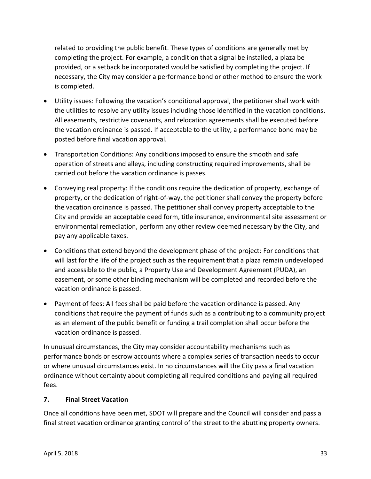related to providing the public benefit. These types of conditions are generally met by completing the project. For example, a condition that a signal be installed, a plaza be provided, or a setback be incorporated would be satisfied by completing the project. If necessary, the City may consider a performance bond or other method to ensure the work is completed.

- Utility issues: Following the vacation's conditional approval, the petitioner shall work with the utilities to resolve any utility issues including those identified in the vacation conditions. All easements, restrictive covenants, and relocation agreements shall be executed before the vacation ordinance is passed. If acceptable to the utility, a performance bond may be posted before final vacation approval.
- Transportation Conditions: Any conditions imposed to ensure the smooth and safe operation of streets and alleys, including constructing required improvements, shall be carried out before the vacation ordinance is passes.
- Conveying real property: If the conditions require the dedication of property, exchange of property, or the dedication of right-of-way, the petitioner shall convey the property before the vacation ordinance is passed. The petitioner shall convey property acceptable to the City and provide an acceptable deed form, title insurance, environmental site assessment or environmental remediation, perform any other review deemed necessary by the City, and pay any applicable taxes.
- Conditions that extend beyond the development phase of the project: For conditions that will last for the life of the project such as the requirement that a plaza remain undeveloped and accessible to the public, a Property Use and Development Agreement (PUDA), an easement, or some other binding mechanism will be completed and recorded before the vacation ordinance is passed.
- Payment of fees: All fees shall be paid before the vacation ordinance is passed. Any conditions that require the payment of funds such as a contributing to a community project as an element of the public benefit or funding a trail completion shall occur before the vacation ordinance is passed.

In unusual circumstances, the City may consider accountability mechanisms such as performance bonds or escrow accounts where a complex series of transaction needs to occur or where unusual circumstances exist. In no circumstances will the City pass a final vacation ordinance without certainty about completing all required conditions and paying all required fees.

#### **7. Final Street Vacation**

Once all conditions have been met, SDOT will prepare and the Council will consider and pass a final street vacation ordinance granting control of the street to the abutting property owners.